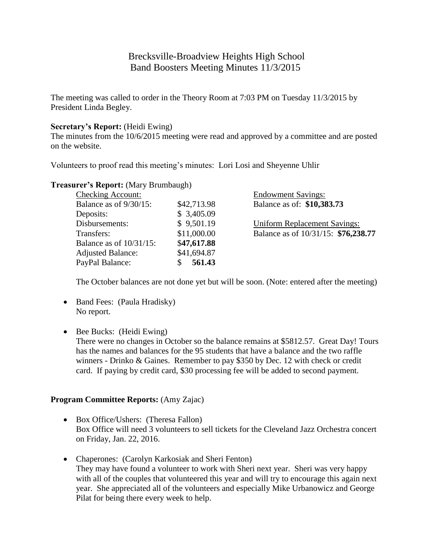# Brecksville-Broadview Heights High School Band Boosters Meeting Minutes 11/3/2015

The meeting was called to order in the Theory Room at 7:03 PM on Tuesday 11/3/2015 by President Linda Begley.

### **Secretary's Report:** (Heidi Ewing)

The minutes from the 10/6/2015 meeting were read and approved by a committee and are posted on the website.

Volunteers to proof read this meeting's minutes: Lori Losi and Sheyenne Uhlir

| <b>Checking Account:</b>   |             | <b>Endowment Savings:</b>           |
|----------------------------|-------------|-------------------------------------|
| Balance as of $9/30/15$ :  | \$42,713.98 | Balance as of: \$10,383.73          |
| Deposits:                  | \$3,405.09  |                                     |
| Disbursements:             | \$9,501.19  | <b>Uniform Replacement Savings:</b> |
| Transfers:                 | \$11,000.00 | Balance as of 10/31/15: \$76,238.77 |
| Balance as of $10/31/15$ : | \$47,617.88 |                                     |
| <b>Adjusted Balance:</b>   | \$41,694.87 |                                     |
| PayPal Balance:            | 561.43      |                                     |
|                            |             |                                     |

# **Treasurer's Report:** (Mary Brumbaugh)

The October balances are not done yet but will be soon. (Note: entered after the meeting)

- Band Fees: (Paula Hradisky) No report.
- Bee Bucks: (Heidi Ewing)

There were no changes in October so the balance remains at \$5812.57. Great Day! Tours has the names and balances for the 95 students that have a balance and the two raffle winners - Drinko & Gaines. Remember to pay \$350 by Dec. 12 with check or credit card. If paying by credit card, \$30 processing fee will be added to second payment.

#### **Program Committee Reports:** (Amy Zajac)

- Box Office/Ushers: (Theresa Fallon) Box Office will need 3 volunteers to sell tickets for the Cleveland Jazz Orchestra concert on Friday, Jan. 22, 2016.
- Chaperones: (Carolyn Karkosiak and Sheri Fenton) They may have found a volunteer to work with Sheri next year. Sheri was very happy with all of the couples that volunteered this year and will try to encourage this again next year. She appreciated all of the volunteers and especially Mike Urbanowicz and George Pilat for being there every week to help.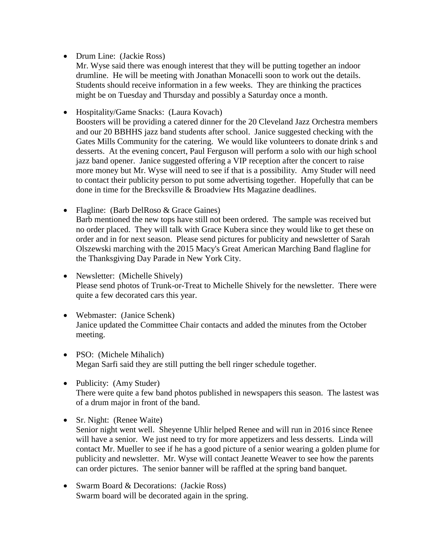- Drum Line: (Jackie Ross)
	- Mr. Wyse said there was enough interest that they will be putting together an indoor drumline. He will be meeting with Jonathan Monacelli soon to work out the details. Students should receive information in a few weeks. They are thinking the practices might be on Tuesday and Thursday and possibly a Saturday once a month.
- Hospitality/Game Snacks: (Laura Kovach)

Boosters will be providing a catered dinner for the 20 Cleveland Jazz Orchestra members and our 20 BBHHS jazz band students after school. Janice suggested checking with the Gates Mills Community for the catering. We would like volunteers to donate drink s and desserts. At the evening concert, Paul Ferguson will perform a solo with our high school jazz band opener. Janice suggested offering a VIP reception after the concert to raise more money but Mr. Wyse will need to see if that is a possibility. Amy Studer will need to contact their publicity person to put some advertising together. Hopefully that can be done in time for the Brecksville & Broadview Hts Magazine deadlines.

- Flagline: (Barb DelRoso & Grace Gaines) Barb mentioned the new tops have still not been ordered. The sample was received but no order placed. They will talk with Grace Kubera since they would like to get these on order and in for next season. Please send pictures for publicity and newsletter of Sarah Olszewski marching with the 2015 Macy's Great American Marching Band flagline for the Thanksgiving Day Parade in New York City.
- Newsletter: (Michelle Shively) Please send photos of Trunk-or-Treat to Michelle Shively for the newsletter. There were quite a few decorated cars this year.
- Webmaster: (Janice Schenk) Janice updated the Committee Chair contacts and added the minutes from the October meeting.
- PSO: (Michele Mihalich) Megan Sarfi said they are still putting the bell ringer schedule together.
- Publicity: (Amy Studer) There were quite a few band photos published in newspapers this season. The lastest was of a drum major in front of the band.
- Sr. Night: (Renee Waite) Senior night went well. Sheyenne Uhlir helped Renee and will run in 2016 since Renee will have a senior. We just need to try for more appetizers and less desserts. Linda will contact Mr. Mueller to see if he has a good picture of a senior wearing a golden plume for publicity and newsletter. Mr. Wyse will contact Jeanette Weaver to see how the parents can order pictures. The senior banner will be raffled at the spring band banquet.
- Swarm Board & Decorations: (Jackie Ross) Swarm board will be decorated again in the spring.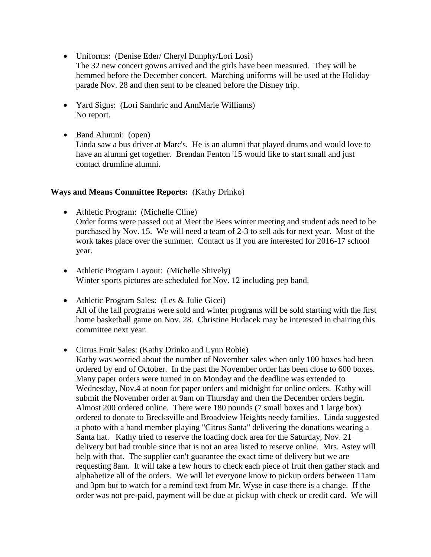- Uniforms: (Denise Eder/ Cheryl Dunphy/Lori Losi) The 32 new concert gowns arrived and the girls have been measured. They will be hemmed before the December concert. Marching uniforms will be used at the Holiday parade Nov. 28 and then sent to be cleaned before the Disney trip.
- Yard Signs: (Lori Samhric and AnnMarie Williams) No report.
- Band Alumni: (open) Linda saw a bus driver at Marc's. He is an alumni that played drums and would love to have an alumni get together. Brendan Fenton '15 would like to start small and just contact drumline alumni.

# **Ways and Means Committee Reports:** (Kathy Drinko)

- Athletic Program: (Michelle Cline) Order forms were passed out at Meet the Bees winter meeting and student ads need to be purchased by Nov. 15. We will need a team of 2-3 to sell ads for next year. Most of the work takes place over the summer. Contact us if you are interested for 2016-17 school year.
- Athletic Program Layout: (Michelle Shively) Winter sports pictures are scheduled for Nov. 12 including pep band.
- Athletic Program Sales: (Les & Julie Gicei) All of the fall programs were sold and winter programs will be sold starting with the first home basketball game on Nov. 28. Christine Hudacek may be interested in chairing this committee next year.
- Citrus Fruit Sales: (Kathy Drinko and Lynn Robie)

Kathy was worried about the number of November sales when only 100 boxes had been ordered by end of October. In the past the November order has been close to 600 boxes. Many paper orders were turned in on Monday and the deadline was extended to Wednesday, Nov.4 at noon for paper orders and midnight for online orders. Kathy will submit the November order at 9am on Thursday and then the December orders begin. Almost 200 ordered online. There were 180 pounds (7 small boxes and 1 large box) ordered to donate to Brecksville and Broadview Heights needy families. Linda suggested a photo with a band member playing "Citrus Santa" delivering the donations wearing a Santa hat. Kathy tried to reserve the loading dock area for the Saturday, Nov. 21 delivery but had trouble since that is not an area listed to reserve online. Mrs. Astey will help with that. The supplier can't guarantee the exact time of delivery but we are requesting 8am. It will take a few hours to check each piece of fruit then gather stack and alphabetize all of the orders. We will let everyone know to pickup orders between 11am and 3pm but to watch for a remind text from Mr. Wyse in case there is a change. If the order was not pre-paid, payment will be due at pickup with check or credit card. We will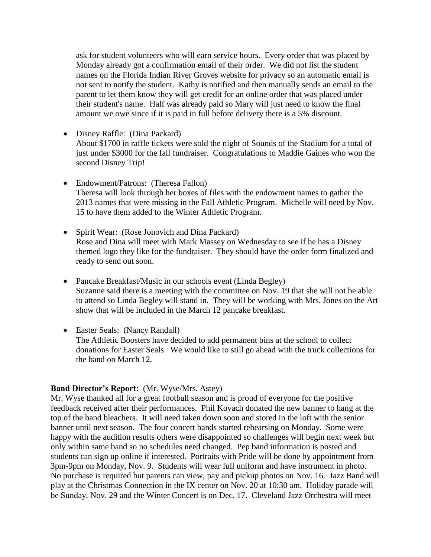ask for student volunteers who will earn service hours. Every order that was placed by Monday already got a confirmation email of their order. We did not list the student names on the Florida Indian River Groves website for privacy so an automatic email is not sent to notify the student. Kathy is notified and then manually sends an email to the parent to let them know they will get credit for an online order that was placed under their student's name. Half was already paid so Mary will just need to know the final amount we owe since if it is paid in full before delivery there is a 5% discount.

• Disney Raffle: (Dina Packard)

About \$1700 in raffle tickets were sold the night of Sounds of the Stadium for a total of just under \$3000 for the fall fundraiser. Congratulations to Maddie Gaines who won the second Disney Trip!

- Endowment/Patrons: (Theresa Fallon) Theresa will look through her boxes of files with the endowment names to gather the 2013 names that were missing in the Fall Athletic Program. Michelle will need by Nov. 15 to have them added to the Winter Athletic Program.
- Spirit Wear: (Rose Jonovich and Dina Packard) Rose and Dina will meet with Mark Massey on Wednesday to see if he has a Disney themed logo they like for the fundraiser. They should have the order form finalized and ready to send out soon.
- Pancake Breakfast/Music in our schools event (Linda Begley) Suzanne said there is a meeting with the committee on Nov. 19 that she will not be able to attend so Linda Begley will stand in. They will be working with Mrs. Jones on the Art show that will be included in the March 12 pancake breakfast.
- Easter Seals: (Nancy Randall) The Athletic Boosters have decided to add permanent bins at the school to collect donations for Easter Seals. We would like to still go ahead with the truck collections for the band on March 12.

#### **Band Director's Report:** (Mr. Wyse/Mrs. Astey)

Mr. Wyse thanked all for a great football season and is proud of everyone for the positive feedback received after their performances. Phil Kovach donated the new banner to hang at the top of the band bleachers. It will need taken down soon and stored in the loft with the senior banner until next season. The four concert bands started rehearsing on Monday. Some were happy with the audition results others were disappointed so challenges will begin next week but only within same band so no schedules need changed. Pep band information is posted and students can sign up online if interested. Portraits with Pride will be done by appointment from 3pm-9pm on Monday, Nov. 9. Students will wear full uniform and have instrument in photo. No purchase is required but parents can view, pay and pickup photos on Nov. 16. Jazz Band will play at the Christmas Connection in the IX center on Nov. 20 at 10:30 am. Holiday parade will be Sunday, Nov. 29 and the Winter Concert is on Dec. 17. Cleveland Jazz Orchestra will meet